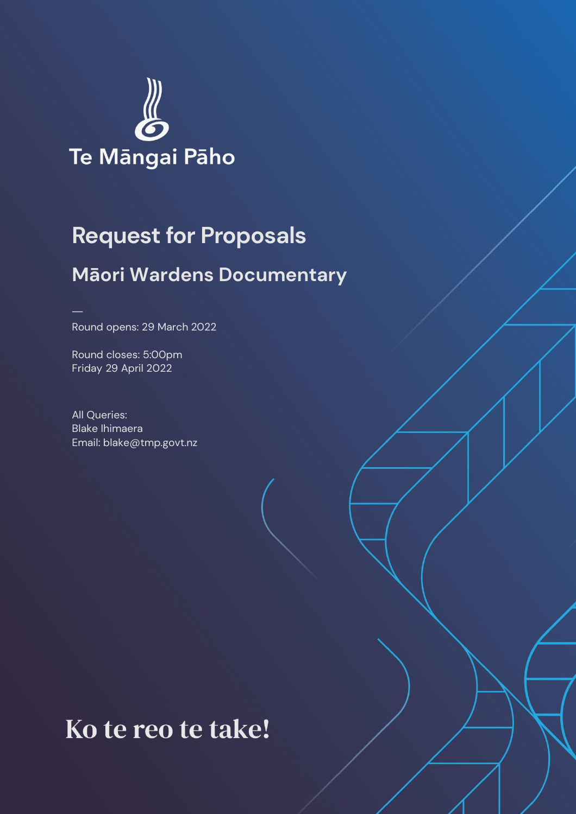

# **Request for Proposals Māori Wardens Documentary**

Round opens: 29 March 2022

Round closes: 5:00pm Friday 29 April 2022

All Queries: Blake Ihimaera Email: blake@tmp.govt.nz

# Ko te reo te take!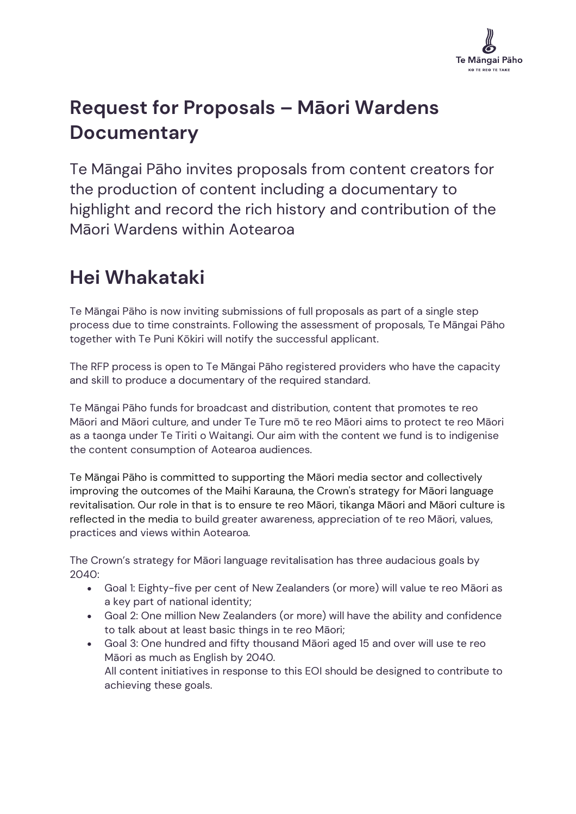

# **Request for Proposals – Māori Wardens Documentary**

Te Māngai Pāho invites proposals from content creators for the production of content including a documentary to highlight and record the rich history and contribution of the Māori Wardens within Aotearoa

# **Hei Whakataki**

Te Māngai Pāho is now inviting submissions of full proposals as part of a single step process due to time constraints. Following the assessment of proposals, Te Māngai Pāho together with Te Puni Kōkiri will notify the successful applicant.

The RFP process is open to Te Māngai Pāho registered providers who have the capacity and skill to produce a documentary of the required standard.

Te Māngai Pāho funds for broadcast and distribution, content that promotes te reo Māori and Māori culture, and under Te Ture mō te reo Māori aims to protect te reo Māori as a taonga under Te Tiriti o Waitangi. Our aim with the content we fund is to indigenise the content consumption of Aotearoa audiences.

Te Māngai Pāho is committed to supporting the Māori media sector and collectively improving the outcomes of the Maihi Karauna, the Crown's strategy for Māori language revitalisation. Our role in that is to ensure te reo Māori, tikanga Māori and Māori culture is reflected in the media to build greater awareness, appreciation of te reo Māori, values, practices and views within Aotearoa.

The Crown's strategy for Māori language revitalisation has three audacious goals by 2040:

- Goal 1: Eighty-five per cent of New Zealanders (or more) will value te reo Māori as a key part of national identity;
- Goal 2: One million New Zealanders (or more) will have the ability and confidence to talk about at least basic things in te reo Māori;
- Goal 3: One hundred and fifty thousand Māori aged 15 and over will use te reo Māori as much as English by 2040. All content initiatives in response to this EOI should be designed to contribute to achieving these goals.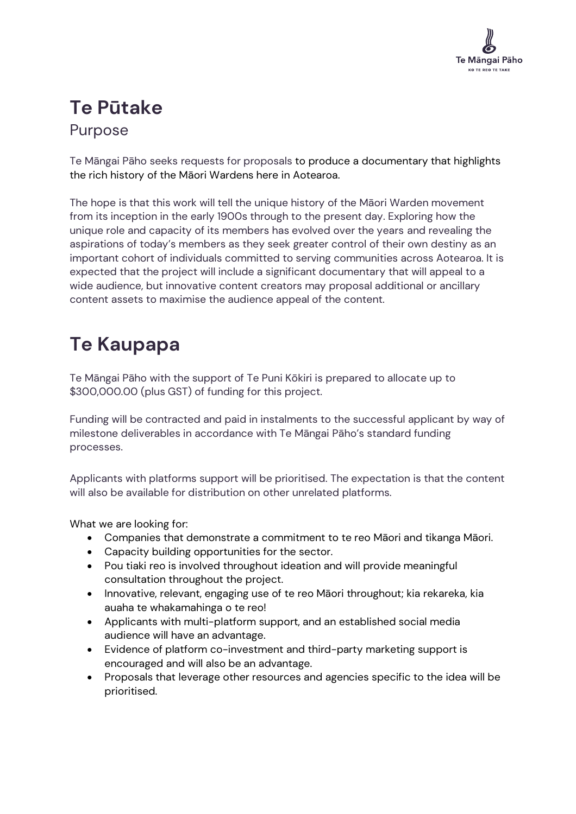

### **Te Pūtake** Purpose

Te Māngai Pāho seeks requests for proposals to produce a documentary that highlights the rich history of the Māori Wardens here in Aotearoa.

The hope is that this work will tell the unique history of the Māori Warden movement from its inception in the early 1900s through to the present day. Exploring how the unique role and capacity of its members has evolved over the years and revealing the aspirations of today's members as they seek greater control of their own destiny as an important cohort of individuals committed to serving communities across Aotearoa. It is expected that the project will include a significant documentary that will appeal to a wide audience, but innovative content creators may proposal additional or ancillary content assets to maximise the audience appeal of the content.

# **Te Kaupapa**

Te Māngai Pāho with the support of Te Puni Kōkiri is prepared to allocate up to \$300,000.00 (plus GST) of funding for this project.

Funding will be contracted and paid in instalments to the successful applicant by way of milestone deliverables in accordance with Te Māngai Pāho's standard funding processes.

Applicants with platforms support will be prioritised. The expectation is that the content will also be available for distribution on other unrelated platforms.

What we are looking for:

- Companies that demonstrate a commitment to te reo Māori and tikanga Māori.
- Capacity building opportunities for the sector.
- Pou tiaki reo is involved throughout ideation and will provide meaningful consultation throughout the project.
- Innovative, relevant, engaging use of te reo Māori throughout; kia rekareka, kia auaha te whakamahinga o te reo!
- Applicants with multi-platform support, and an established social media audience will have an advantage.
- Evidence of platform co-investment and third-party marketing support is encouraged and will also be an advantage.
- Proposals that leverage other resources and agencies specific to the idea will be prioritised.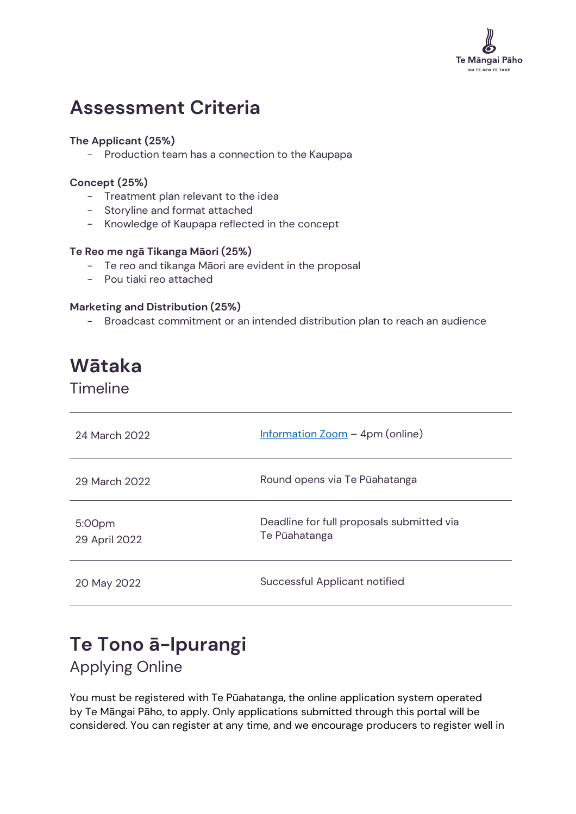

### **Assessment Criteria**

#### **The Applicant (25%)**

- Production team has a connection to the Kaupapa

#### **Concept (25%)**

- Treatment plan relevant to the idea
- Storyline and format attached
- Knowledge of Kaupapa reflected in the concept

#### **Te Reo me ngā Tikanga Māori (25%)**

- Te reo and tikanga Māori are evident in the proposal
- Pou tiaki reo attached

#### **Marketing and Distribution (25%)**

- Broadcast commitment or an intended distribution plan to reach an audience

## **Wātaka**

Timeline

| 24 March 2022           | $Information Zoom – 4pm (online)$                          |
|-------------------------|------------------------------------------------------------|
| 29 March 2022           | Round opens via Te Pūahatanga                              |
| 5:00pm<br>29 April 2022 | Deadline for full proposals submitted via<br>Te Pūahatanga |
| 20 May 2022             | Successful Applicant notified                              |

### **Te Tono ā-Ipurangi**

Applying Online

You must be registered with Te Pūahatanga, the online application system operated by Te Māngai Pāho, to apply. Only applications submitted through this portal will be considered. You can register at any time, and we encourage producers to register well in